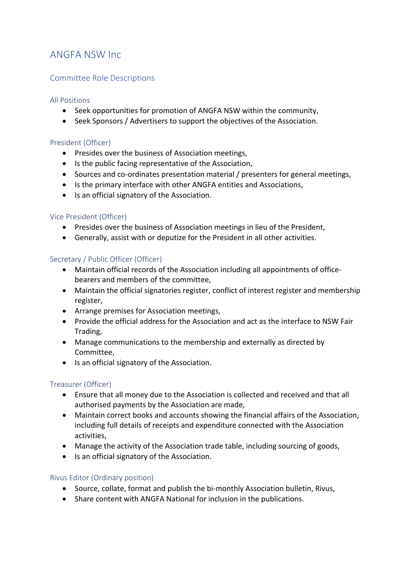# ANGFA NSW Inc

## Committee Role Descriptions

## All Positions

- Seek opportunities for promotion of ANGFA NSW within the community,
- Seek Sponsors / Advertisers to support the objectives of the Association.

## President (Officer)

- Presides over the business of Association meetings,
- Is the public facing representative of the Association,
- Sources and co-ordinates presentation material / presenters for general meetings,
- Is the primary interface with other ANGFA entities and Associations,
- Is an official signatory of the Association.

#### Vice President (Officer)

- Presides over the business of Association meetings in lieu of the President,
- Generally, assist with or deputize for the President in all other activities.

#### Secretary / Public Officer (Officer)

- Maintain official records of the Association including all appointments of officebearers and members of the committee,
- Maintain the official signatories register, conflict of interest register and membership register,
- Arrange premises for Association meetings,
- Provide the official address for the Association and act as the interface to NSW Fair Trading,
- Manage communications to the membership and externally as directed by Committee,
- Is an official signatory of the Association.

## Treasurer (Officer)

- Ensure that all money due to the Association is collected and received and that all authorised payments by the Association are made,
- Maintain correct books and accounts showing the financial affairs of the Association, including full details of receipts and expenditure connected with the Association activities,
- Manage the activity of the Association trade table, including sourcing of goods,
- Is an official signatory of the Association.

## Rivus Editor (Ordinary position)

- Source, collate, format and publish the bi-monthly Association bulletin, Rivus,
- Share content with ANGFA National for inclusion in the publications.